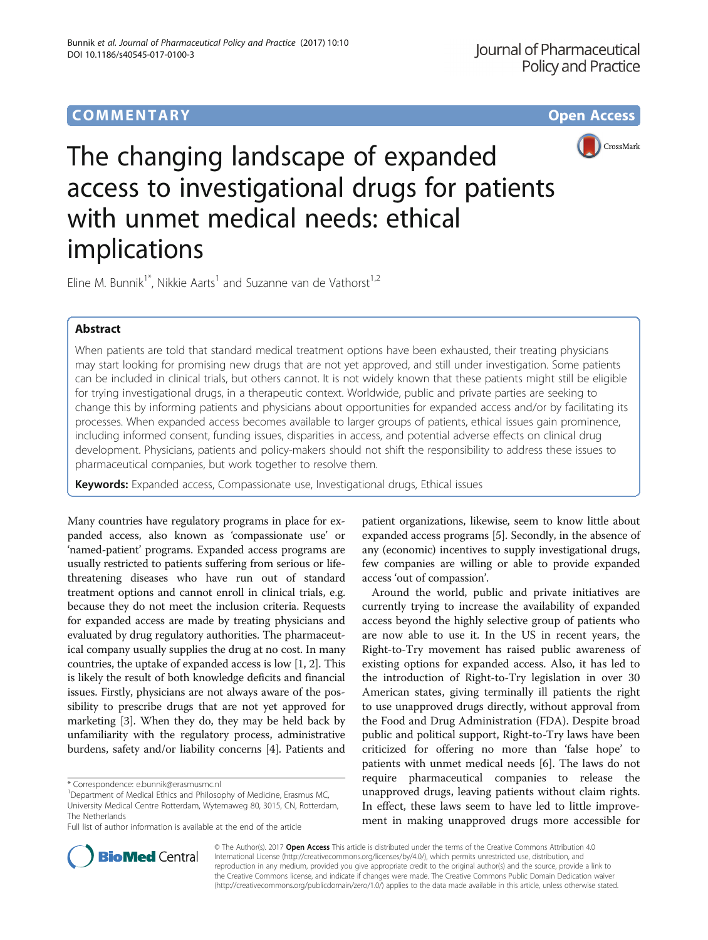# **COMMENTARY COMMENTARY Open Access**



# The changing landscape of expanded access to investigational drugs for patients with unmet medical needs: ethical implications

Eline M. Bunnik<sup>1\*</sup>, Nikkie Aarts<sup>1</sup> and Suzanne van de Vathorst<sup>1,2</sup>

# Abstract

When patients are told that standard medical treatment options have been exhausted, their treating physicians may start looking for promising new drugs that are not yet approved, and still under investigation. Some patients can be included in clinical trials, but others cannot. It is not widely known that these patients might still be eligible for trying investigational drugs, in a therapeutic context. Worldwide, public and private parties are seeking to change this by informing patients and physicians about opportunities for expanded access and/or by facilitating its processes. When expanded access becomes available to larger groups of patients, ethical issues gain prominence, including informed consent, funding issues, disparities in access, and potential adverse effects on clinical drug development. Physicians, patients and policy-makers should not shift the responsibility to address these issues to pharmaceutical companies, but work together to resolve them.

Keywords: Expanded access, Compassionate use, Investigational drugs, Ethical issues

Many countries have regulatory programs in place for expanded access, also known as 'compassionate use' or 'named-patient' programs. Expanded access programs are usually restricted to patients suffering from serious or lifethreatening diseases who have run out of standard treatment options and cannot enroll in clinical trials, e.g. because they do not meet the inclusion criteria. Requests for expanded access are made by treating physicians and evaluated by drug regulatory authorities. The pharmaceutical company usually supplies the drug at no cost. In many countries, the uptake of expanded access is low [[1](#page-2-0), [2](#page-2-0)]. This is likely the result of both knowledge deficits and financial issues. Firstly, physicians are not always aware of the possibility to prescribe drugs that are not yet approved for marketing [\[3](#page-2-0)]. When they do, they may be held back by unfamiliarity with the regulatory process, administrative burdens, safety and/or liability concerns [[4\]](#page-2-0). Patients and

patient organizations, likewise, seem to know little about expanded access programs [\[5](#page-2-0)]. Secondly, in the absence of any (economic) incentives to supply investigational drugs, few companies are willing or able to provide expanded access 'out of compassion'.

Around the world, public and private initiatives are currently trying to increase the availability of expanded access beyond the highly selective group of patients who are now able to use it. In the US in recent years, the Right-to-Try movement has raised public awareness of existing options for expanded access. Also, it has led to the introduction of Right-to-Try legislation in over 30 American states, giving terminally ill patients the right to use unapproved drugs directly, without approval from the Food and Drug Administration (FDA). Despite broad public and political support, Right-to-Try laws have been criticized for offering no more than 'false hope' to patients with unmet medical needs [[6\]](#page-2-0). The laws do not require pharmaceutical companies to release the unapproved drugs, leaving patients without claim rights. In effect, these laws seem to have led to little improvement in making unapproved drugs more accessible for



© The Author(s). 2017 **Open Access** This article is distributed under the terms of the Creative Commons Attribution 4.0 International License [\(http://creativecommons.org/licenses/by/4.0/](http://creativecommons.org/licenses/by/4.0/)), which permits unrestricted use, distribution, and reproduction in any medium, provided you give appropriate credit to the original author(s) and the source, provide a link to the Creative Commons license, and indicate if changes were made. The Creative Commons Public Domain Dedication waiver [\(http://creativecommons.org/publicdomain/zero/1.0/](http://creativecommons.org/publicdomain/zero/1.0/)) applies to the data made available in this article, unless otherwise stated.

<sup>\*</sup> Correspondence: [e.bunnik@erasmusmc.nl](mailto:e.bunnik@erasmusmc.nl) <sup>1</sup>

<sup>&</sup>lt;sup>1</sup>Department of Medical Ethics and Philosophy of Medicine, Erasmus MC, University Medical Centre Rotterdam, Wytemaweg 80, 3015, CN, Rotterdam, The Netherlands

Full list of author information is available at the end of the article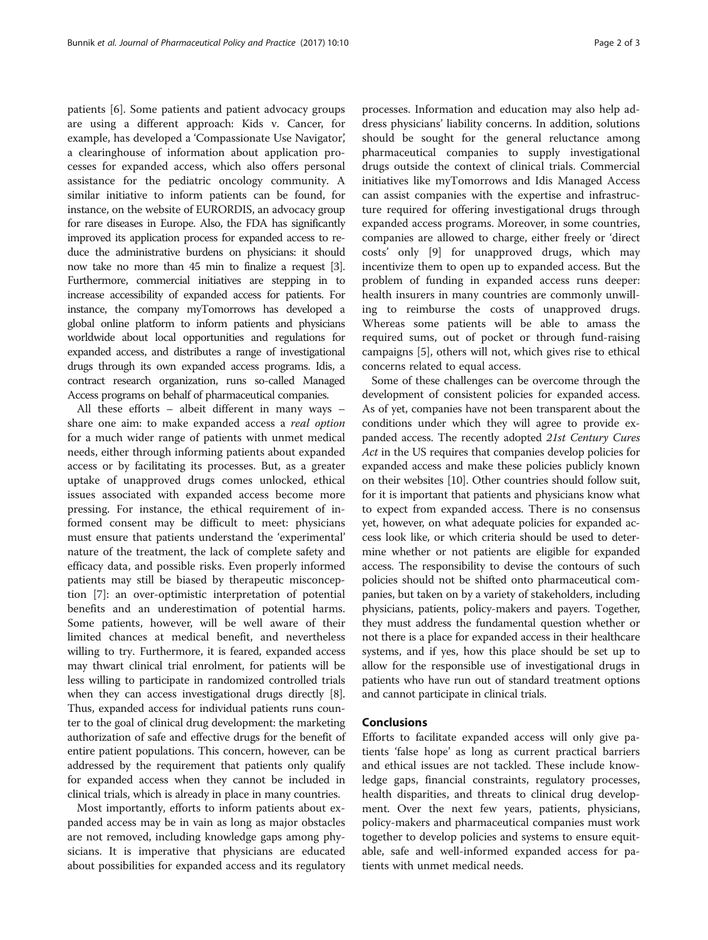patients [[6\]](#page-2-0). Some patients and patient advocacy groups are using a different approach: Kids v. Cancer, for example, has developed a 'Compassionate Use Navigator', a clearinghouse of information about application processes for expanded access, which also offers personal assistance for the pediatric oncology community. A similar initiative to inform patients can be found, for instance, on the website of EURORDIS, an advocacy group for rare diseases in Europe. Also, the FDA has significantly improved its application process for expanded access to reduce the administrative burdens on physicians: it should now take no more than 45 min to finalize a request [\[3\]](#page-2-0). Furthermore, commercial initiatives are stepping in to increase accessibility of expanded access for patients. For instance, the company myTomorrows has developed a global online platform to inform patients and physicians worldwide about local opportunities and regulations for expanded access, and distributes a range of investigational drugs through its own expanded access programs. Idis, a contract research organization, runs so-called Managed Access programs on behalf of pharmaceutical companies.

All these efforts – albeit different in many ways – share one aim: to make expanded access a real option for a much wider range of patients with unmet medical needs, either through informing patients about expanded access or by facilitating its processes. But, as a greater uptake of unapproved drugs comes unlocked, ethical issues associated with expanded access become more pressing. For instance, the ethical requirement of informed consent may be difficult to meet: physicians must ensure that patients understand the 'experimental' nature of the treatment, the lack of complete safety and efficacy data, and possible risks. Even properly informed patients may still be biased by therapeutic misconception [[7](#page-2-0)]: an over-optimistic interpretation of potential benefits and an underestimation of potential harms. Some patients, however, will be well aware of their limited chances at medical benefit, and nevertheless willing to try. Furthermore, it is feared, expanded access may thwart clinical trial enrolment, for patients will be less willing to participate in randomized controlled trials when they can access investigational drugs directly [[8](#page-2-0)]. Thus, expanded access for individual patients runs counter to the goal of clinical drug development: the marketing authorization of safe and effective drugs for the benefit of entire patient populations. This concern, however, can be addressed by the requirement that patients only qualify for expanded access when they cannot be included in clinical trials, which is already in place in many countries.

Most importantly, efforts to inform patients about expanded access may be in vain as long as major obstacles are not removed, including knowledge gaps among physicians. It is imperative that physicians are educated about possibilities for expanded access and its regulatory processes. Information and education may also help address physicians' liability concerns. In addition, solutions should be sought for the general reluctance among pharmaceutical companies to supply investigational drugs outside the context of clinical trials. Commercial initiatives like myTomorrows and Idis Managed Access can assist companies with the expertise and infrastructure required for offering investigational drugs through expanded access programs. Moreover, in some countries, companies are allowed to charge, either freely or 'direct costs' only [[9\]](#page-2-0) for unapproved drugs, which may incentivize them to open up to expanded access. But the problem of funding in expanded access runs deeper: health insurers in many countries are commonly unwilling to reimburse the costs of unapproved drugs. Whereas some patients will be able to amass the required sums, out of pocket or through fund-raising campaigns [[5\]](#page-2-0), others will not, which gives rise to ethical concerns related to equal access.

Some of these challenges can be overcome through the development of consistent policies for expanded access. As of yet, companies have not been transparent about the conditions under which they will agree to provide expanded access. The recently adopted 21st Century Cures Act in the US requires that companies develop policies for expanded access and make these policies publicly known on their websites [\[10](#page-2-0)]. Other countries should follow suit, for it is important that patients and physicians know what to expect from expanded access. There is no consensus yet, however, on what adequate policies for expanded access look like, or which criteria should be used to determine whether or not patients are eligible for expanded access. The responsibility to devise the contours of such policies should not be shifted onto pharmaceutical companies, but taken on by a variety of stakeholders, including physicians, patients, policy-makers and payers. Together, they must address the fundamental question whether or not there is a place for expanded access in their healthcare systems, and if yes, how this place should be set up to allow for the responsible use of investigational drugs in patients who have run out of standard treatment options and cannot participate in clinical trials.

# Conclusions

Efforts to facilitate expanded access will only give patients 'false hope' as long as current practical barriers and ethical issues are not tackled. These include knowledge gaps, financial constraints, regulatory processes, health disparities, and threats to clinical drug development. Over the next few years, patients, physicians, policy-makers and pharmaceutical companies must work together to develop policies and systems to ensure equitable, safe and well-informed expanded access for patients with unmet medical needs.